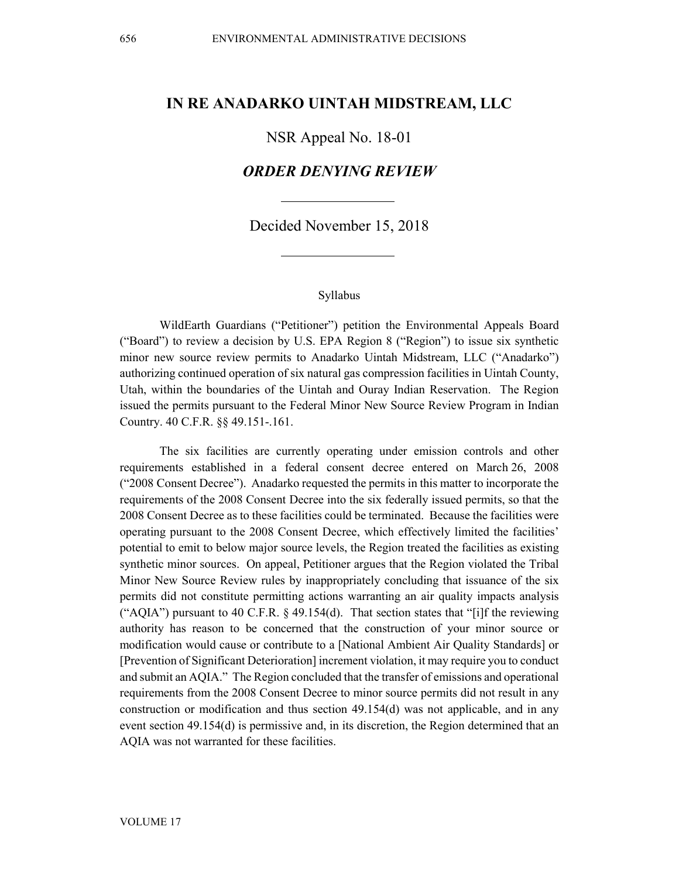# **IN RE ANADARKO UINTAH MIDSTREAM, LLC**

## NSR Appeal No. 18-01

# *ORDER DENYING REVIEW*

## Decided November 15, 2018

#### Syllabus

WildEarth Guardians ("Petitioner") petition the Environmental Appeals Board ("Board") to review a decision by U.S. EPA Region 8 ("Region") to issue six synthetic minor new source review permits to Anadarko Uintah Midstream, LLC ("Anadarko") authorizing continued operation of six natural gas compression facilities in Uintah County, Utah, within the boundaries of the Uintah and Ouray Indian Reservation. The Region issued the permits pursuant to the Federal Minor New Source Review Program in Indian Country. 40 C.F.R. §§ 49.151-.161.

The six facilities are currently operating under emission controls and other requirements established in a federal consent decree entered on March 26, 2008 ("2008 Consent Decree"). Anadarko requested the permits in this matter to incorporate the requirements of the 2008 Consent Decree into the six federally issued permits, so that the 2008 Consent Decree as to these facilities could be terminated. Because the facilities were operating pursuant to the 2008 Consent Decree, which effectively limited the facilities' potential to emit to below major source levels, the Region treated the facilities as existing synthetic minor sources. On appeal, Petitioner argues that the Region violated the Tribal Minor New Source Review rules by inappropriately concluding that issuance of the six permits did not constitute permitting actions warranting an air quality impacts analysis ("AQIA") pursuant to 40 C.F.R.  $\S$  49.154(d). That section states that "[i]f the reviewing authority has reason to be concerned that the construction of your minor source or modification would cause or contribute to a [National Ambient Air Quality Standards] or [Prevention of Significant Deterioration] increment violation, it may require you to conduct and submit an AQIA." The Region concluded that the transfer of emissions and operational requirements from the 2008 Consent Decree to minor source permits did not result in any construction or modification and thus section 49.154(d) was not applicable, and in any event section 49.154(d) is permissive and, in its discretion, the Region determined that an AQIA was not warranted for these facilities.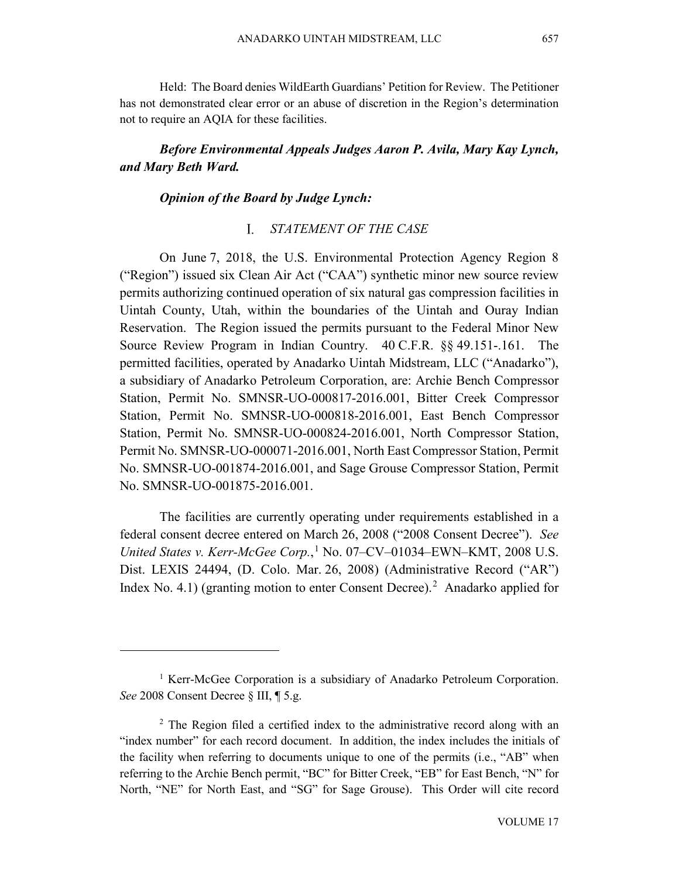Held: The Board denies WildEarth Guardians' Petition for Review. The Petitioner has not demonstrated clear error or an abuse of discretion in the Region's determination not to require an AQIA for these facilities.

# *Before Environmental Appeals Judges Aaron P. Avila, Mary Kay Lynch, and Mary Beth Ward.*

## *Opinion of the Board by Judge Lynch:*

## *STATEMENT OF THE CASE*

On June 7, 2018, the U.S. Environmental Protection Agency Region 8 ("Region") issued six Clean Air Act ("CAA") synthetic minor new source review permits authorizing continued operation of six natural gas compression facilities in Uintah County, Utah, within the boundaries of the Uintah and Ouray Indian Reservation. The Region issued the permits pursuant to the Federal Minor New Source Review Program in Indian Country. 40 C.F.R. §§ 49.151-.161. The permitted facilities, operated by Anadarko Uintah Midstream, LLC ("Anadarko"), a subsidiary of Anadarko Petroleum Corporation, are: Archie Bench Compressor Station, Permit No. SMNSR-UO-000817-2016.001, Bitter Creek Compressor Station, Permit No. SMNSR-UO-000818-2016.001, East Bench Compressor Station, Permit No. SMNSR-UO-000824-2016.001, North Compressor Station, Permit No. SMNSR-UO-000071-2016.001, North East Compressor Station, Permit No. SMNSR-UO-001874-2016.001, and Sage Grouse Compressor Station, Permit No. SMNSR-UO-001875-2016.001.

The facilities are currently operating under requirements established in a federal consent decree entered on March 26, 2008 ("2008 Consent Decree"). *See United States v. Kerr-McGee Corp.*, [1](#page-1-0) No. 07–CV–01034–EWN–KMT, 2008 U.S. Dist. LEXIS 24494, (D. Colo. Mar. 26, 2008) (Administrative Record ("AR") Index No. 4.1) (granting motion to enter Consent Decree).<sup>[2](#page-1-1)</sup> Anadarko applied for

<span id="page-1-0"></span><sup>&</sup>lt;sup>1</sup> Kerr-McGee Corporation is a subsidiary of Anadarko Petroleum Corporation. *See* 2008 Consent Decree § III, ¶ 5.g.

<span id="page-1-1"></span><sup>&</sup>lt;sup>2</sup> The Region filed a certified index to the administrative record along with an "index number" for each record document. In addition, the index includes the initials of the facility when referring to documents unique to one of the permits (i.e., "AB" when referring to the Archie Bench permit, "BC" for Bitter Creek, "EB" for East Bench, "N" for North, "NE" for North East, and "SG" for Sage Grouse). This Order will cite record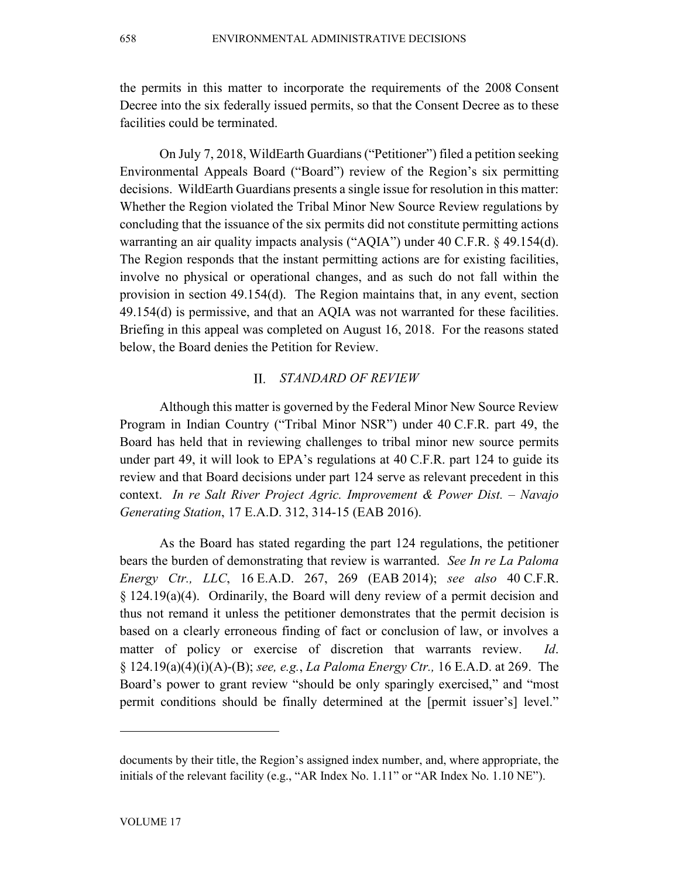the permits in this matter to incorporate the requirements of the 2008 Consent Decree into the six federally issued permits, so that the Consent Decree as to these facilities could be terminated.

On July 7, 2018, WildEarth Guardians ("Petitioner") filed a petition seeking Environmental Appeals Board ("Board") review of the Region's six permitting decisions. WildEarth Guardians presents a single issue for resolution in this matter: Whether the Region violated the Tribal Minor New Source Review regulations by concluding that the issuance of the six permits did not constitute permitting actions warranting an air quality impacts analysis ("AQIA") under 40 C.F.R. § 49.154(d). The Region responds that the instant permitting actions are for existing facilities, involve no physical or operational changes, and as such do not fall within the provision in section 49.154(d). The Region maintains that, in any event, section 49.154(d) is permissive, and that an AQIA was not warranted for these facilities. Briefing in this appeal was completed on August 16, 2018. For the reasons stated below, the Board denies the Petition for Review.

#### $\Pi$ . *STANDARD OF REVIEW*

Although this matter is governed by the Federal Minor New Source Review Program in Indian Country ("Tribal Minor NSR") under 40 C.F.R. part 49, the Board has held that in reviewing challenges to tribal minor new source permits under part 49, it will look to EPA's regulations at 40 C.F.R. part 124 to guide its review and that Board decisions under part 124 serve as relevant precedent in this context. *In re Salt River Project Agric. Improvement & Power Dist. – Navajo Generating Station*, 17 E.A.D. 312, 314-15 (EAB 2016).

As the Board has stated regarding the part 124 regulations, the petitioner bears the burden of demonstrating that review is warranted. *See In re La Paloma Energy Ctr., LLC*, 16 E.A.D. 267, 269 (EAB 2014); *see also* 40 C.F.R. § 124.19(a)(4). Ordinarily, the Board will deny review of a permit decision and thus not remand it unless the petitioner demonstrates that the permit decision is based on a clearly erroneous finding of fact or conclusion of law, or involves a matter of policy or exercise of discretion that warrants review. *Id*. § 124.19(a)(4)(i)(A)-(B); *see, e.g.*, *La Paloma Energy Ctr.,* 16 E.A.D. at 269. The Board's power to grant review "should be only sparingly exercised," and "most permit conditions should be finally determined at the [permit issuer's] level."

documents by their title, the Region's assigned index number, and, where appropriate, the initials of the relevant facility (e.g., "AR Index No. 1.11" or "AR Index No. 1.10 NE").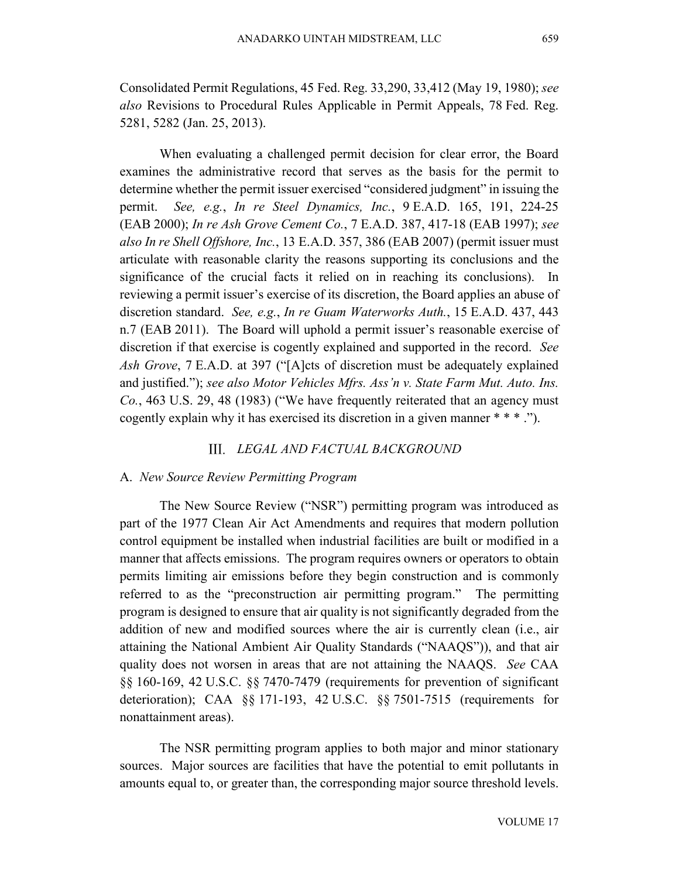Consolidated Permit Regulations, 45 Fed. Reg. 33,290, 33,412 (May 19, 1980); *see also* Revisions to Procedural Rules Applicable in Permit Appeals, 78 Fed. Reg. 5281, 5282 (Jan. 25, 2013).

When evaluating a challenged permit decision for clear error, the Board examines the administrative record that serves as the basis for the permit to determine whether the permit issuer exercised "considered judgment" in issuing the permit. *See, e.g.*, *In re Steel Dynamics, Inc.*, 9 E.A.D. 165, 191, 224-25 (EAB 2000); *In re Ash Grove Cement Co.*, 7 E.A.D. 387, 417-18 (EAB 1997); *see also In re Shell Offshore, Inc.*, 13 E.A.D. 357, 386 (EAB 2007) (permit issuer must articulate with reasonable clarity the reasons supporting its conclusions and the significance of the crucial facts it relied on in reaching its conclusions). In reviewing a permit issuer's exercise of its discretion, the Board applies an abuse of discretion standard. *See, e.g.*, *In re Guam Waterworks Auth.*, 15 E.A.D. 437, 443 n.7 (EAB 2011). The Board will uphold a permit issuer's reasonable exercise of discretion if that exercise is cogently explained and supported in the record. *See Ash Grove*, 7 E.A.D. at 397 ("[A]cts of discretion must be adequately explained and justified."); *see also Motor Vehicles Mfrs. Ass'n v. State Farm Mut. Auto. Ins. Co.*, 463 U.S. 29, 48 (1983) ("We have frequently reiterated that an agency must cogently explain why it has exercised its discretion in a given manner \* \* \* .").

### *LEGAL AND FACTUAL BACKGROUND*

#### A. *New Source Review Permitting Program*

The New Source Review ("NSR") permitting program was introduced as part of the 1977 Clean Air Act Amendments and requires that modern pollution control equipment be installed when industrial facilities are built or modified in a manner that affects emissions. The program requires owners or operators to obtain permits limiting air emissions before they begin construction and is commonly referred to as the "preconstruction air permitting program." The permitting program is designed to ensure that air quality is not significantly degraded from the addition of new and modified sources where the air is currently clean (i.e., air attaining the National Ambient Air Quality Standards ("NAAQS")), and that air quality does not worsen in areas that are not attaining the NAAQS. *See* CAA §§ 160-169, 42 U.S.C. §§ 7470-7479 (requirements for prevention of significant deterioration); CAA §§ 171-193, 42 U.S.C. §§ 7501-7515 (requirements for nonattainment areas).

The NSR permitting program applies to both major and minor stationary sources. Major sources are facilities that have the potential to emit pollutants in amounts equal to, or greater than, the corresponding major source threshold levels.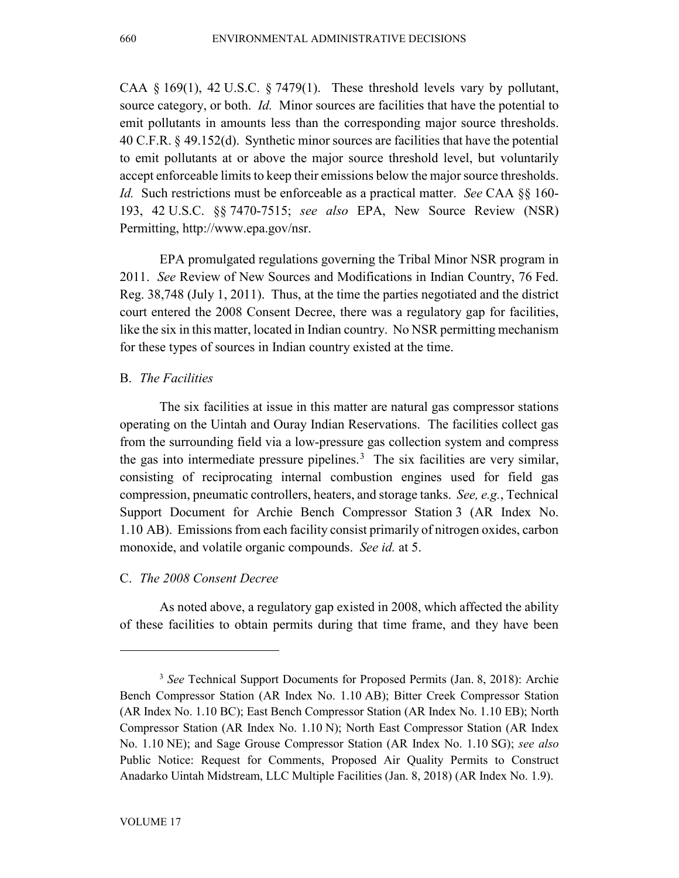CAA  $\S$  169(1), 42 U.S.C.  $\S$  7479(1). These threshold levels vary by pollutant, source category, or both. *Id.* Minor sources are facilities that have the potential to emit pollutants in amounts less than the corresponding major source thresholds. 40 C.F.R. § 49.152(d). Synthetic minor sources are facilities that have the potential to emit pollutants at or above the major source threshold level, but voluntarily accept enforceable limits to keep their emissions below the major source thresholds. *Id.* Such restrictions must be enforceable as a practical matter. *See* CAA §§ 160- 193, 42 U.S.C. §§ 7470-7515; *see also* EPA, New Source Review (NSR) Permitting, http://www.epa.gov/nsr.

EPA promulgated regulations governing the Tribal Minor NSR program in 2011. *See* Review of New Sources and Modifications in Indian Country, 76 Fed. Reg. 38,748 (July 1, 2011). Thus, at the time the parties negotiated and the district court entered the 2008 Consent Decree, there was a regulatory gap for facilities, like the six in this matter, located in Indian country. No NSR permitting mechanism for these types of sources in Indian country existed at the time.

## B. *The Facilities*

The six facilities at issue in this matter are natural gas compressor stations operating on the Uintah and Ouray Indian Reservations. The facilities collect gas from the surrounding field via a low-pressure gas collection system and compress the gas into intermediate pressure pipelines. [3](#page-4-0) The six facilities are very similar, consisting of reciprocating internal combustion engines used for field gas compression, pneumatic controllers, heaters, and storage tanks. *See, e.g.*, Technical Support Document for Archie Bench Compressor Station 3 (AR Index No. 1.10 AB). Emissions from each facility consist primarily of nitrogen oxides, carbon monoxide, and volatile organic compounds. *See id.* at 5.

## C. *The 2008 Consent Decree*

As noted above, a regulatory gap existed in 2008, which affected the ability of these facilities to obtain permits during that time frame, and they have been

<span id="page-4-0"></span><sup>3</sup> *See* Technical Support Documents for Proposed Permits (Jan. 8, 2018): Archie Bench Compressor Station (AR Index No. 1.10 AB); Bitter Creek Compressor Station (AR Index No. 1.10 BC); East Bench Compressor Station (AR Index No. 1.10 EB); North Compressor Station (AR Index No. 1.10 N); North East Compressor Station (AR Index No. 1.10 NE); and Sage Grouse Compressor Station (AR Index No. 1.10 SG); *see also* Public Notice: Request for Comments, Proposed Air Quality Permits to Construct Anadarko Uintah Midstream, LLC Multiple Facilities (Jan. 8, 2018) (AR Index No. 1.9).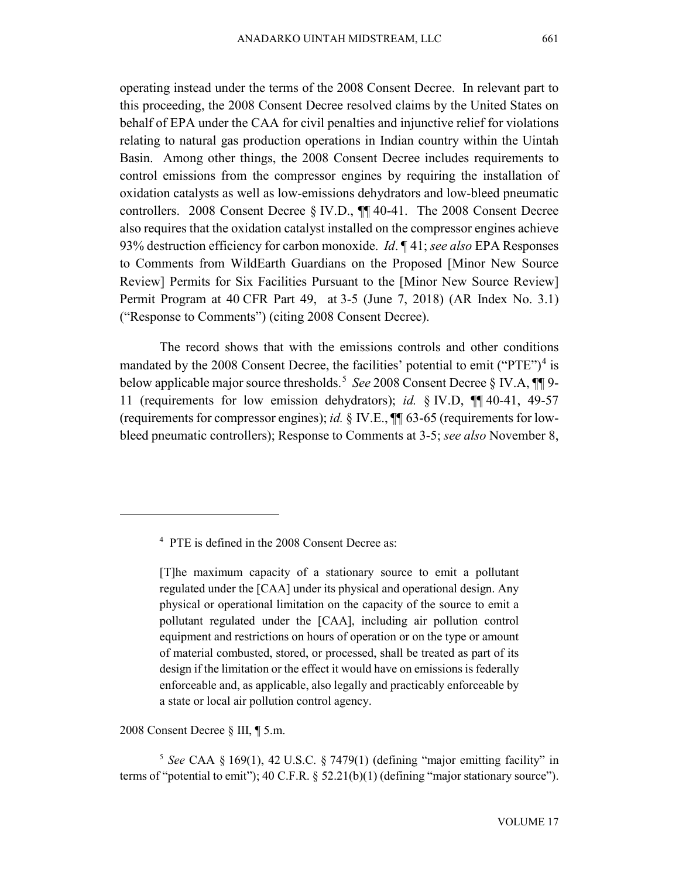operating instead under the terms of the 2008 Consent Decree. In relevant part to this proceeding, the 2008 Consent Decree resolved claims by the United States on behalf of EPA under the CAA for civil penalties and injunctive relief for violations relating to natural gas production operations in Indian country within the Uintah Basin. Among other things, the 2008 Consent Decree includes requirements to control emissions from the compressor engines by requiring the installation of oxidation catalysts as well as low-emissions dehydrators and low-bleed pneumatic controllers. 2008 Consent Decree § IV.D., ¶¶ 40-41. The 2008 Consent Decree also requires that the oxidation catalyst installed on the compressor engines achieve 93% destruction efficiency for carbon monoxide. *Id*. ¶ 41; *see also* EPA Responses to Comments from WildEarth Guardians on the Proposed [Minor New Source Review] Permits for Six Facilities Pursuant to the [Minor New Source Review] Permit Program at 40 CFR Part 49, at 3-5 (June 7, 2018) (AR Index No. 3.1) ("Response to Comments") (citing 2008 Consent Decree).

The record shows that with the emissions controls and other conditions mandated by the 2008 Consent Decree, the facilities' potential to emit ("PTE")<sup>[4](#page-5-0)</sup> is below applicable major source thresholds. [5](#page-5-1) *See* 2008 Consent Decree § IV.A, ¶¶ 9- 11 (requirements for low emission dehydrators); *id.* § IV.D, ¶¶ 40-41, 49-57 (requirements for compressor engines); *id.* § IV.E., ¶¶ 63-65 (requirements for lowbleed pneumatic controllers); Response to Comments at 3-5; *see also* November 8,

2008 Consent Decree § III, ¶ 5.m.

<span id="page-5-0"></span> $\overline{a}$ 

<span id="page-5-1"></span><sup>5</sup> *See* CAA § 169(1), 42 U.S.C. § 7479(1) (defining "major emitting facility" in terms of "potential to emit");  $40 \text{ C.F.R.}$  §  $52.21(b)(1)$  (defining "major stationary source").

<sup>4</sup> PTE is defined in the 2008 Consent Decree as:

<sup>[</sup>T]he maximum capacity of a stationary source to emit a pollutant regulated under the [CAA] under its physical and operational design. Any physical or operational limitation on the capacity of the source to emit a pollutant regulated under the [CAA], including air pollution control equipment and restrictions on hours of operation or on the type or amount of material combusted, stored, or processed, shall be treated as part of its design if the limitation or the effect it would have on emissions is federally enforceable and, as applicable, also legally and practicably enforceable by a state or local air pollution control agency.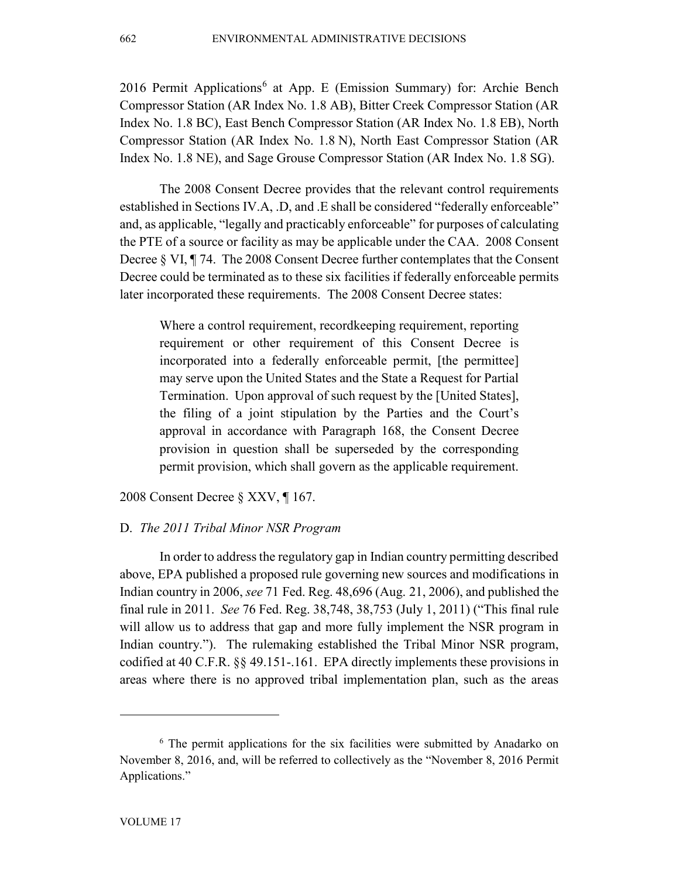201[6](#page-6-0) Permit Applications<sup>6</sup> at App. E (Emission Summary) for: Archie Bench Compressor Station (AR Index No. 1.8 AB), Bitter Creek Compressor Station (AR Index No. 1.8 BC), East Bench Compressor Station (AR Index No. 1.8 EB), North Compressor Station (AR Index No. 1.8 N), North East Compressor Station (AR Index No. 1.8 NE), and Sage Grouse Compressor Station (AR Index No. 1.8 SG).

The 2008 Consent Decree provides that the relevant control requirements established in Sections IV.A, .D, and .E shall be considered "federally enforceable" and, as applicable, "legally and practicably enforceable" for purposes of calculating the PTE of a source or facility as may be applicable under the CAA. 2008 Consent Decree § VI, ¶ 74. The 2008 Consent Decree further contemplates that the Consent Decree could be terminated as to these six facilities if federally enforceable permits later incorporated these requirements. The 2008 Consent Decree states:

Where a control requirement, recordkeeping requirement, reporting requirement or other requirement of this Consent Decree is incorporated into a federally enforceable permit, [the permittee] may serve upon the United States and the State a Request for Partial Termination. Upon approval of such request by the [United States], the filing of a joint stipulation by the Parties and the Court's approval in accordance with Paragraph 168, the Consent Decree provision in question shall be superseded by the corresponding permit provision, which shall govern as the applicable requirement.

2008 Consent Decree § XXV, ¶ 167.

### D. *The 2011 Tribal Minor NSR Program*

In order to address the regulatory gap in Indian country permitting described above, EPA published a proposed rule governing new sources and modifications in Indian country in 2006, *see* 71 Fed. Reg. 48,696 (Aug. 21, 2006), and published the final rule in 2011. *See* 76 Fed. Reg. 38,748, 38,753 (July 1, 2011) ("This final rule will allow us to address that gap and more fully implement the NSR program in Indian country."). The rulemaking established the Tribal Minor NSR program, codified at 40 C.F.R. §§ 49.151-.161. EPA directly implements these provisions in areas where there is no approved tribal implementation plan, such as the areas

<span id="page-6-0"></span><sup>&</sup>lt;sup>6</sup> The permit applications for the six facilities were submitted by Anadarko on November 8, 2016, and, will be referred to collectively as the "November 8, 2016 Permit Applications."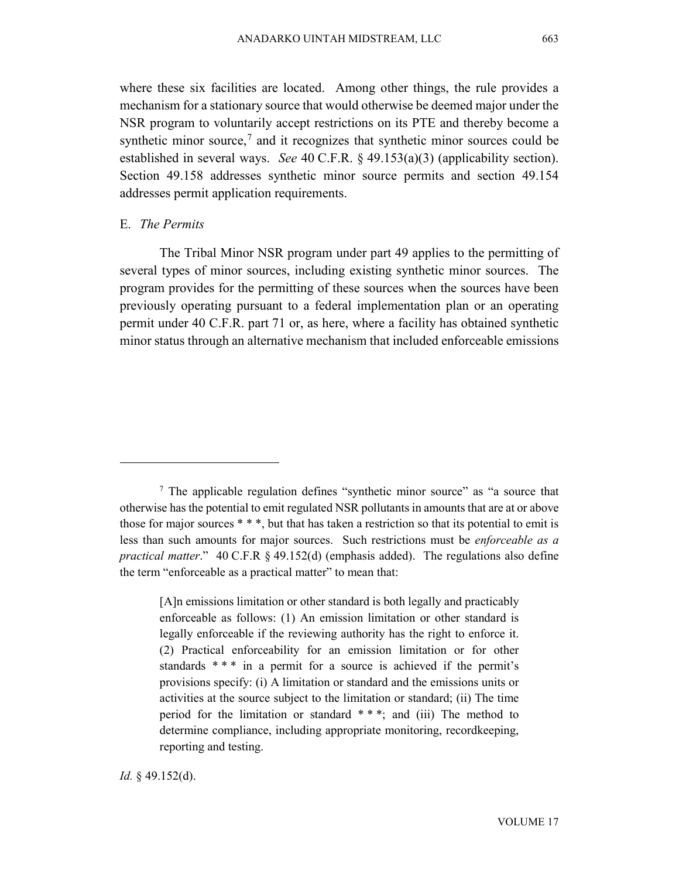where these six facilities are located. Among other things, the rule provides a mechanism for a stationary source that would otherwise be deemed major under the NSR program to voluntarily accept restrictions on its PTE and thereby become a synthetic minor source,<sup>[7](#page-7-0)</sup> and it recognizes that synthetic minor sources could be established in several ways. *See* 40 C.F.R. § 49.153(a)(3) (applicability section). Section 49.158 addresses synthetic minor source permits and section 49.154 addresses permit application requirements.

## E. *The Permits*

 $\overline{a}$ 

The Tribal Minor NSR program under part 49 applies to the permitting of several types of minor sources, including existing synthetic minor sources. The program provides for the permitting of these sources when the sources have been previously operating pursuant to a federal implementation plan or an operating permit under 40 C.F.R. part 71 or, as here, where a facility has obtained synthetic minor status through an alternative mechanism that included enforceable emissions

*Id.* § 49.152(d).

<span id="page-7-0"></span><sup>&</sup>lt;sup>7</sup> The applicable regulation defines "synthetic minor source" as "a source that otherwise has the potential to emit regulated NSR pollutants in amounts that are at or above those for major sources  $***$ , but that has taken a restriction so that its potential to emit is less than such amounts for major sources. Such restrictions must be *enforceable as a practical matter*." 40 C.F.R § 49.152(d) (emphasis added). The regulations also define the term "enforceable as a practical matter" to mean that:

<sup>[</sup>A]n emissions limitation or other standard is both legally and practicably enforceable as follows: (1) An emission limitation or other standard is legally enforceable if the reviewing authority has the right to enforce it. (2) Practical enforceability for an emission limitation or for other standards \*\*\* in a permit for a source is achieved if the permit's provisions specify: (i) A limitation or standard and the emissions units or activities at the source subject to the limitation or standard; (ii) The time period for the limitation or standard \* \* \*; and (iii) The method to determine compliance, including appropriate monitoring, recordkeeping, reporting and testing.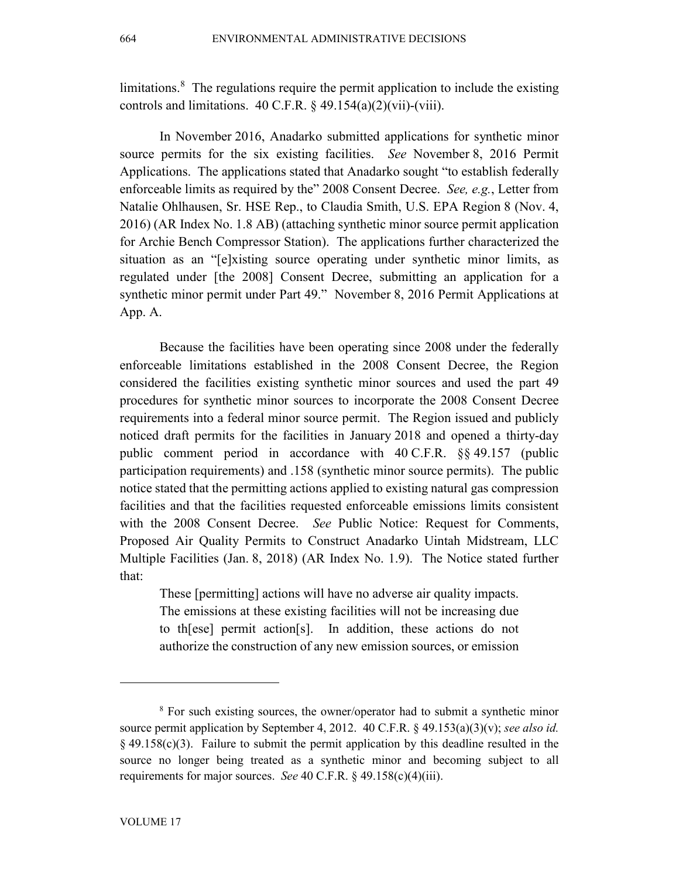limitations.<sup>[8](#page-8-0)</sup> The regulations require the permit application to include the existing controls and limitations.  $40 \text{ C.F.R.}$  §  $49.154(a)(2)(\text{vii)-(viii)}$ .

In November 2016, Anadarko submitted applications for synthetic minor source permits for the six existing facilities. *See* November 8, 2016 Permit Applications. The applications stated that Anadarko sought "to establish federally enforceable limits as required by the" 2008 Consent Decree. *See, e.g.*, Letter from Natalie Ohlhausen, Sr. HSE Rep., to Claudia Smith, U.S. EPA Region 8 (Nov. 4, 2016) (AR Index No. 1.8 AB) (attaching synthetic minor source permit application for Archie Bench Compressor Station). The applications further characterized the situation as an "[e]xisting source operating under synthetic minor limits, as regulated under [the 2008] Consent Decree, submitting an application for a synthetic minor permit under Part 49." November 8, 2016 Permit Applications at App. A.

Because the facilities have been operating since 2008 under the federally enforceable limitations established in the 2008 Consent Decree, the Region considered the facilities existing synthetic minor sources and used the part 49 procedures for synthetic minor sources to incorporate the 2008 Consent Decree requirements into a federal minor source permit. The Region issued and publicly noticed draft permits for the facilities in January 2018 and opened a thirty-day public comment period in accordance with 40 C.F.R. §§ 49.157 (public participation requirements) and .158 (synthetic minor source permits). The public notice stated that the permitting actions applied to existing natural gas compression facilities and that the facilities requested enforceable emissions limits consistent with the 2008 Consent Decree. *See* Public Notice: Request for Comments, Proposed Air Quality Permits to Construct Anadarko Uintah Midstream, LLC Multiple Facilities (Jan. 8, 2018) (AR Index No. 1.9). The Notice stated further that:

These [permitting] actions will have no adverse air quality impacts. The emissions at these existing facilities will not be increasing due to th[ese] permit action[s]. In addition, these actions do not authorize the construction of any new emission sources, or emission

<span id="page-8-0"></span><sup>8</sup> For such existing sources, the owner/operator had to submit a synthetic minor source permit application by September 4, 2012. 40 C.F.R. § 49.153(a)(3)(v); *see also id.*  $§$  49.158(c)(3). Failure to submit the permit application by this deadline resulted in the source no longer being treated as a synthetic minor and becoming subject to all requirements for major sources. *See* 40 C.F.R. § 49.158(c)(4)(iii).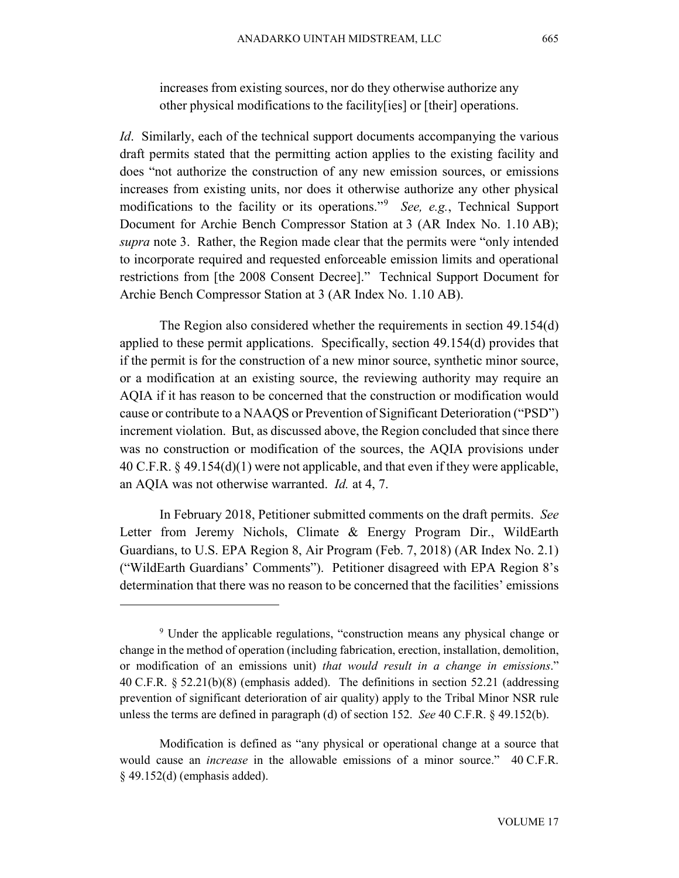increases from existing sources, nor do they otherwise authorize any other physical modifications to the facility[ies] or [their] operations.

*Id.* Similarly, each of the technical support documents accompanying the various draft permits stated that the permitting action applies to the existing facility and does "not authorize the construction of any new emission sources, or emissions increases from existing units, nor does it otherwise authorize any other physical modifications to the facility or its operations."[9](#page-9-0) *See, e.g.*, Technical Support Document for Archie Bench Compressor Station at 3 (AR Index No. 1.10 AB); *supra* note 3. Rather, the Region made clear that the permits were "only intended to incorporate required and requested enforceable emission limits and operational restrictions from [the 2008 Consent Decree]." Technical Support Document for Archie Bench Compressor Station at 3 (AR Index No. 1.10 AB).

The Region also considered whether the requirements in section 49.154(d) applied to these permit applications. Specifically, section 49.154(d) provides that if the permit is for the construction of a new minor source, synthetic minor source, or a modification at an existing source, the reviewing authority may require an AQIA if it has reason to be concerned that the construction or modification would cause or contribute to a NAAQS or Prevention of Significant Deterioration ("PSD") increment violation. But, as discussed above, the Region concluded that since there was no construction or modification of the sources, the AQIA provisions under 40 C.F.R. § 49.154(d)(1) were not applicable, and that even if they were applicable, an AQIA was not otherwise warranted. *Id.* at 4, 7.

In February 2018, Petitioner submitted comments on the draft permits. *See* Letter from Jeremy Nichols, Climate & Energy Program Dir., WildEarth Guardians, to U.S. EPA Region 8, Air Program (Feb. 7, 2018) (AR Index No. 2.1) ("WildEarth Guardians' Comments"). Petitioner disagreed with EPA Region 8's determination that there was no reason to be concerned that the facilities' emissions

<span id="page-9-0"></span><sup>&</sup>lt;sup>9</sup> Under the applicable regulations, "construction means any physical change or change in the method of operation (including fabrication, erection, installation, demolition, or modification of an emissions unit) *that would result in a change in emissions*." 40 C.F.R. § 52.21(b)(8) (emphasis added). The definitions in section 52.21 (addressing prevention of significant deterioration of air quality) apply to the Tribal Minor NSR rule unless the terms are defined in paragraph (d) of section 152. *See* 40 C.F.R. § 49.152(b).

Modification is defined as "any physical or operational change at a source that would cause an *increase* in the allowable emissions of a minor source." 40 C.F.R. § 49.152(d) (emphasis added).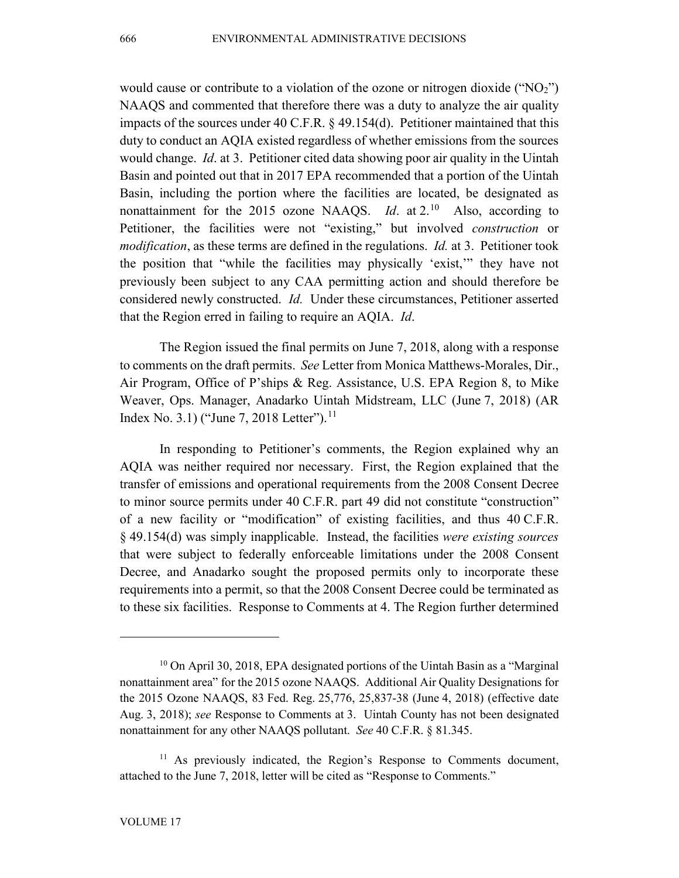would cause or contribute to a violation of the ozone or nitrogen dioxide ("NO2") NAAQS and commented that therefore there was a duty to analyze the air quality impacts of the sources under 40 C.F.R. § 49.154(d). Petitioner maintained that this duty to conduct an AQIA existed regardless of whether emissions from the sources would change. *Id*. at 3. Petitioner cited data showing poor air quality in the Uintah Basin and pointed out that in 2017 EPA recommended that a portion of the Uintah Basin, including the portion where the facilities are located, be designated as nonattainment for the 2015 ozone NAAQS. *Id.* at 2.<sup>[10](#page-10-0)</sup> Also, according to Petitioner, the facilities were not "existing," but involved *construction* or *modification*, as these terms are defined in the regulations. *Id.* at 3. Petitioner took the position that "while the facilities may physically 'exist,'" they have not previously been subject to any CAA permitting action and should therefore be considered newly constructed. *Id.* Under these circumstances, Petitioner asserted that the Region erred in failing to require an AQIA. *Id*.

The Region issued the final permits on June 7, 2018, along with a response to comments on the draft permits. *See* Letter from Monica Matthews-Morales, Dir., Air Program, Office of P'ships & Reg. Assistance, U.S. EPA Region 8, to Mike Weaver, Ops. Manager, Anadarko Uintah Midstream, LLC (June 7, 2018) (AR Index No. 3.1) ("June 7, 2018 Letter").<sup>[11](#page-10-1)</sup>

In responding to Petitioner's comments, the Region explained why an AQIA was neither required nor necessary. First, the Region explained that the transfer of emissions and operational requirements from the 2008 Consent Decree to minor source permits under 40 C.F.R. part 49 did not constitute "construction" of a new facility or "modification" of existing facilities, and thus 40 C.F.R. § 49.154(d) was simply inapplicable. Instead, the facilities *were existing sources*  that were subject to federally enforceable limitations under the 2008 Consent Decree, and Anadarko sought the proposed permits only to incorporate these requirements into a permit, so that the 2008 Consent Decree could be terminated as to these six facilities. Response to Comments at 4. The Region further determined

<span id="page-10-0"></span> $10$  On April 30, 2018, EPA designated portions of the Uintah Basin as a "Marginal" nonattainment area" for the 2015 ozone NAAQS. Additional Air Quality Designations for the 2015 Ozone NAAQS, 83 Fed. Reg. 25,776, 25,837-38 (June 4, 2018) (effective date Aug. 3, 2018); *see* Response to Comments at 3. Uintah County has not been designated nonattainment for any other NAAQS pollutant. *See* 40 C.F.R. § 81.345.

<span id="page-10-1"></span><sup>&</sup>lt;sup>11</sup> As previously indicated, the Region's Response to Comments document, attached to the June 7, 2018, letter will be cited as "Response to Comments."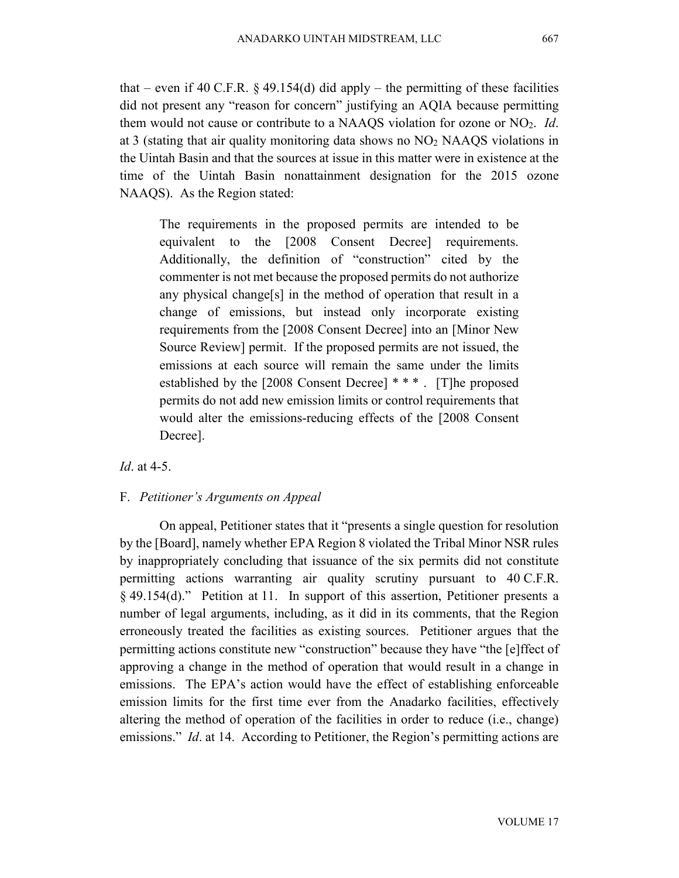that – even if 40 C.F.R. § 49.154(d) did apply – the permitting of these facilities did not present any "reason for concern" justifying an AQIA because permitting them would not cause or contribute to a NAAQS violation for ozone or NO2. *Id*. at 3 (stating that air quality monitoring data shows no NO2 NAAQS violations in the Uintah Basin and that the sources at issue in this matter were in existence at the time of the Uintah Basin nonattainment designation for the 2015 ozone NAAQS). As the Region stated:

The requirements in the proposed permits are intended to be equivalent to the [2008 Consent Decree] requirements. Additionally, the definition of "construction" cited by the commenter is not met because the proposed permits do not authorize any physical change[s] in the method of operation that result in a change of emissions, but instead only incorporate existing requirements from the [2008 Consent Decree] into an [Minor New Source Review] permit. If the proposed permits are not issued, the emissions at each source will remain the same under the limits established by the [2008 Consent Decree] \* \* \* . [T]he proposed permits do not add new emission limits or control requirements that would alter the emissions-reducing effects of the [2008 Consent Decree].

## *Id*. at 4-5.

### F. *Petitioner's Arguments on Appeal*

On appeal, Petitioner states that it "presents a single question for resolution by the [Board], namely whether EPA Region 8 violated the Tribal Minor NSR rules by inappropriately concluding that issuance of the six permits did not constitute permitting actions warranting air quality scrutiny pursuant to 40 C.F.R. § 49.154(d)." Petition at 11. In support of this assertion, Petitioner presents a number of legal arguments, including, as it did in its comments, that the Region erroneously treated the facilities as existing sources. Petitioner argues that the permitting actions constitute new "construction" because they have "the [e]ffect of approving a change in the method of operation that would result in a change in emissions. The EPA's action would have the effect of establishing enforceable emission limits for the first time ever from the Anadarko facilities, effectively altering the method of operation of the facilities in order to reduce (i.e., change) emissions." *Id.* at 14. According to Petitioner, the Region's permitting actions are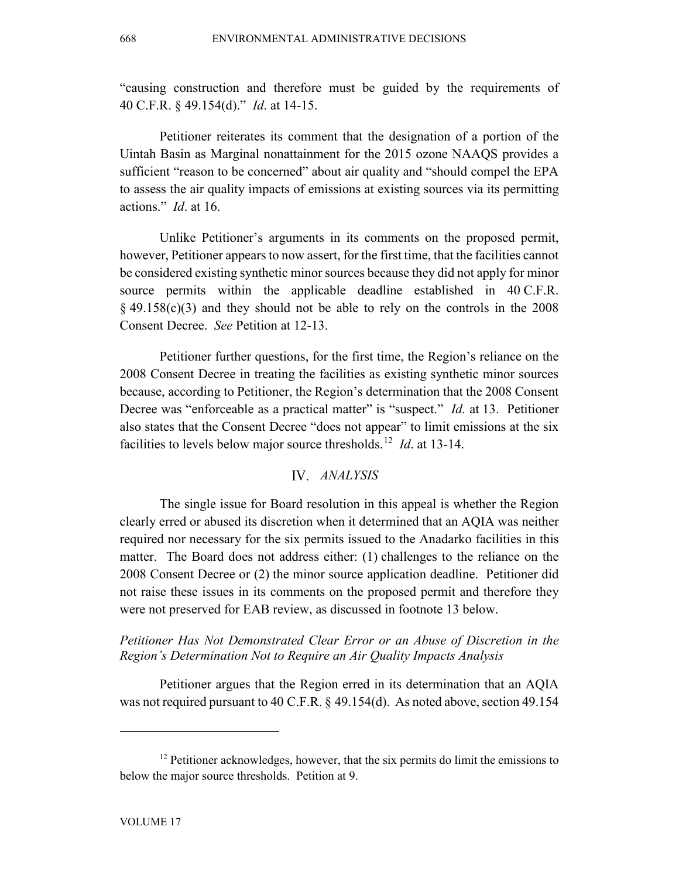"causing construction and therefore must be guided by the requirements of 40 C.F.R. § 49.154(d)." *Id*. at 14-15.

Petitioner reiterates its comment that the designation of a portion of the Uintah Basin as Marginal nonattainment for the 2015 ozone NAAQS provides a sufficient "reason to be concerned" about air quality and "should compel the EPA to assess the air quality impacts of emissions at existing sources via its permitting actions." *Id*. at 16.

Unlike Petitioner's arguments in its comments on the proposed permit, however, Petitioner appears to now assert, for the first time, that the facilities cannot be considered existing synthetic minor sources because they did not apply for minor source permits within the applicable deadline established in 40 C.F.R.  $\S$  49.158(c)(3) and they should not be able to rely on the controls in the 2008 Consent Decree. *See* Petition at 12-13.

Petitioner further questions, for the first time, the Region's reliance on the 2008 Consent Decree in treating the facilities as existing synthetic minor sources because, according to Petitioner, the Region's determination that the 2008 Consent Decree was "enforceable as a practical matter" is "suspect." *Id.* at 13. Petitioner also states that the Consent Decree "does not appear" to limit emissions at the six facilities to levels below major source thresholds. [12](#page-12-0) *Id*. at 13-14.

# *ANALYSIS*

The single issue for Board resolution in this appeal is whether the Region clearly erred or abused its discretion when it determined that an AQIA was neither required nor necessary for the six permits issued to the Anadarko facilities in this matter. The Board does not address either: (1) challenges to the reliance on the 2008 Consent Decree or (2) the minor source application deadline. Petitioner did not raise these issues in its comments on the proposed permit and therefore they were not preserved for EAB review, as discussed in footnote 13 below.

*Petitioner Has Not Demonstrated Clear Error or an Abuse of Discretion in the Region's Determination Not to Require an Air Quality Impacts Analysis*

Petitioner argues that the Region erred in its determination that an AQIA was not required pursuant to 40 C.F.R. § 49.154(d). As noted above, section 49.154

<span id="page-12-0"></span><sup>&</sup>lt;sup>12</sup> Petitioner acknowledges, however, that the six permits do limit the emissions to below the major source thresholds. Petition at 9.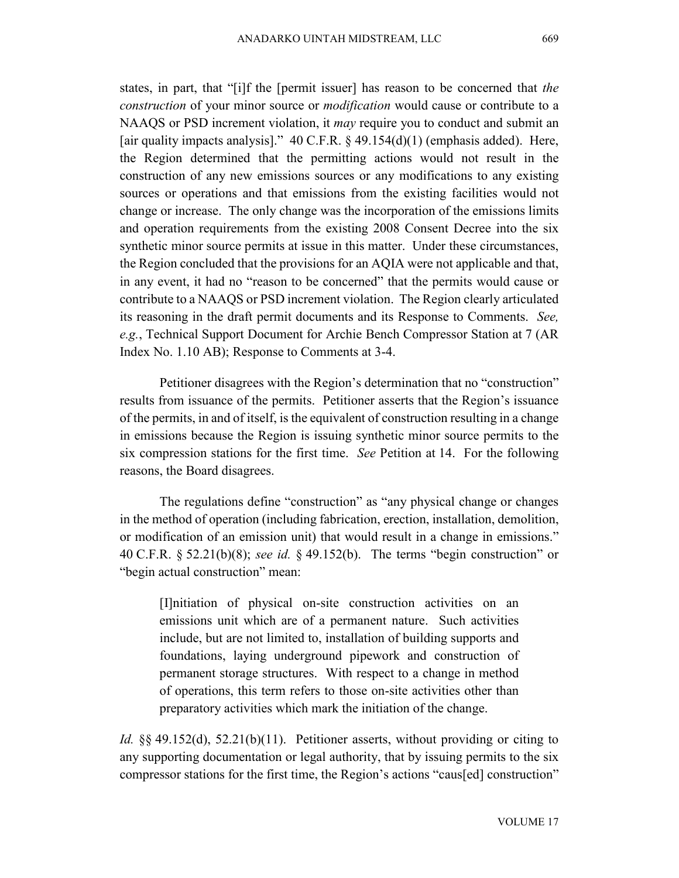states, in part, that "[i]f the [permit issuer] has reason to be concerned that *the construction* of your minor source or *modification* would cause or contribute to a NAAQS or PSD increment violation, it *may* require you to conduct and submit an [air quality impacts analysis]."  $40 \text{ C.F.R. }$  \$49.154(d)(1) (emphasis added). Here, the Region determined that the permitting actions would not result in the construction of any new emissions sources or any modifications to any existing sources or operations and that emissions from the existing facilities would not change or increase. The only change was the incorporation of the emissions limits and operation requirements from the existing 2008 Consent Decree into the six synthetic minor source permits at issue in this matter. Under these circumstances, the Region concluded that the provisions for an AQIA were not applicable and that, in any event, it had no "reason to be concerned" that the permits would cause or contribute to a NAAQS or PSD increment violation. The Region clearly articulated its reasoning in the draft permit documents and its Response to Comments. *See, e.g.*, Technical Support Document for Archie Bench Compressor Station at 7 (AR Index No. 1.10 AB); Response to Comments at 3-4.

Petitioner disagrees with the Region's determination that no "construction" results from issuance of the permits. Petitioner asserts that the Region's issuance of the permits, in and of itself, is the equivalent of construction resulting in a change in emissions because the Region is issuing synthetic minor source permits to the six compression stations for the first time. *See* Petition at 14. For the following reasons, the Board disagrees.

The regulations define "construction" as "any physical change or changes in the method of operation (including fabrication, erection, installation, demolition, or modification of an emission unit) that would result in a change in emissions." 40 C.F.R. § 52.21(b)(8); *see id.* § 49.152(b). The terms "begin construction" or "begin actual construction" mean:

[I]nitiation of physical on-site construction activities on an emissions unit which are of a permanent nature. Such activities include, but are not limited to, installation of building supports and foundations, laying underground pipework and construction of permanent storage structures. With respect to a change in method of operations, this term refers to those on-site activities other than preparatory activities which mark the initiation of the change.

*Id.* §§ 49.152(d), 52.21(b)(11). Petitioner asserts, without providing or citing to any supporting documentation or legal authority, that by issuing permits to the six compressor stations for the first time, the Region's actions "caus[ed] construction"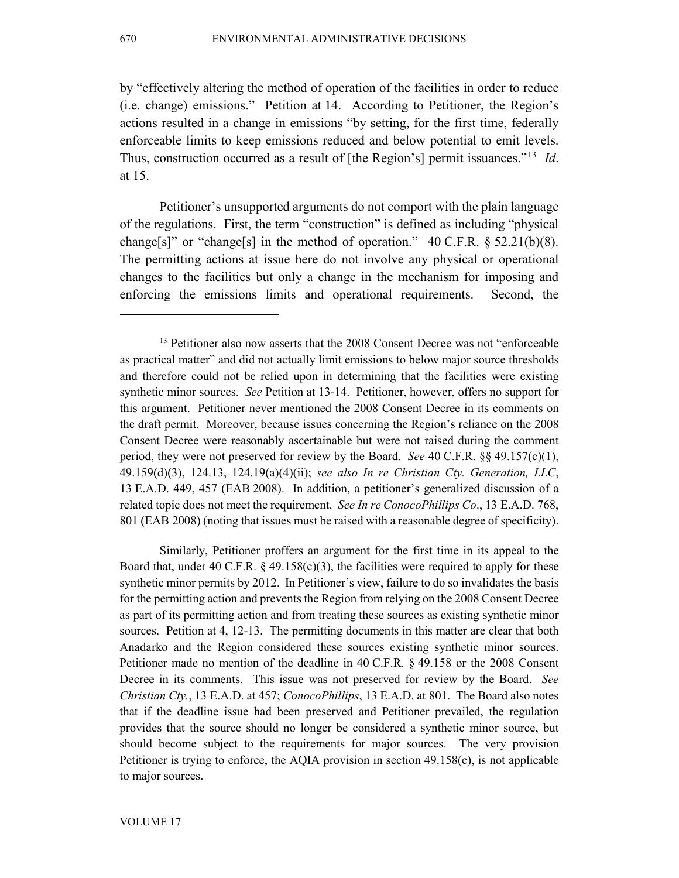by "effectively altering the method of operation of the facilities in order to reduce (i.e. change) emissions." Petition at 14. According to Petitioner, the Region's actions resulted in a change in emissions "by setting, for the first time, federally enforceable limits to keep emissions reduced and below potential to emit levels. Thus, construction occurred as a result of [the Region's] permit issuances."[13](#page-14-0) *Id*. at 15.

Petitioner's unsupported arguments do not comport with the plain language of the regulations. First, the term "construction" is defined as including "physical change[s]" or "change[s] in the method of operation."  $40 \text{ C.F.R.}$  § 52.21(b)(8). The permitting actions at issue here do not involve any physical or operational changes to the facilities but only a change in the mechanism for imposing and enforcing the emissions limits and operational requirements. Second, the

Similarly, Petitioner proffers an argument for the first time in its appeal to the Board that, under 40 C.F.R.  $\S$  49.158(c)(3), the facilities were required to apply for these synthetic minor permits by 2012. In Petitioner's view, failure to do so invalidates the basis for the permitting action and prevents the Region from relying on the 2008 Consent Decree as part of its permitting action and from treating these sources as existing synthetic minor sources. Petition at 4, 12-13. The permitting documents in this matter are clear that both Anadarko and the Region considered these sources existing synthetic minor sources. Petitioner made no mention of the deadline in 40 C.F.R. § 49.158 or the 2008 Consent Decree in its comments. This issue was not preserved for review by the Board. *See Christian Cty.*, 13 E.A.D. at 457; *ConocoPhillips*, 13 E.A.D. at 801. The Board also notes that if the deadline issue had been preserved and Petitioner prevailed, the regulation provides that the source should no longer be considered a synthetic minor source, but should become subject to the requirements for major sources. The very provision Petitioner is trying to enforce, the AQIA provision in section 49.158(c), is not applicable to major sources.

<span id="page-14-0"></span><sup>&</sup>lt;sup>13</sup> Petitioner also now asserts that the 2008 Consent Decree was not "enforceable" as practical matter" and did not actually limit emissions to below major source thresholds and therefore could not be relied upon in determining that the facilities were existing synthetic minor sources. *See* Petition at 13-14. Petitioner, however, offers no support for this argument. Petitioner never mentioned the 2008 Consent Decree in its comments on the draft permit. Moreover, because issues concerning the Region's reliance on the 2008 Consent Decree were reasonably ascertainable but were not raised during the comment period, they were not preserved for review by the Board. *See* 40 C.F.R. §§ 49.157(c)(1), 49.159(d)(3), 124.13, 124.19(a)(4)(ii); *see also In re Christian Cty. Generation, LLC*, 13 E.A.D. 449, 457 (EAB 2008). In addition, a petitioner's generalized discussion of a related topic does not meet the requirement. *See In re ConocoPhillips Co*., 13 E.A.D. 768, 801 (EAB 2008) (noting that issues must be raised with a reasonable degree of specificity).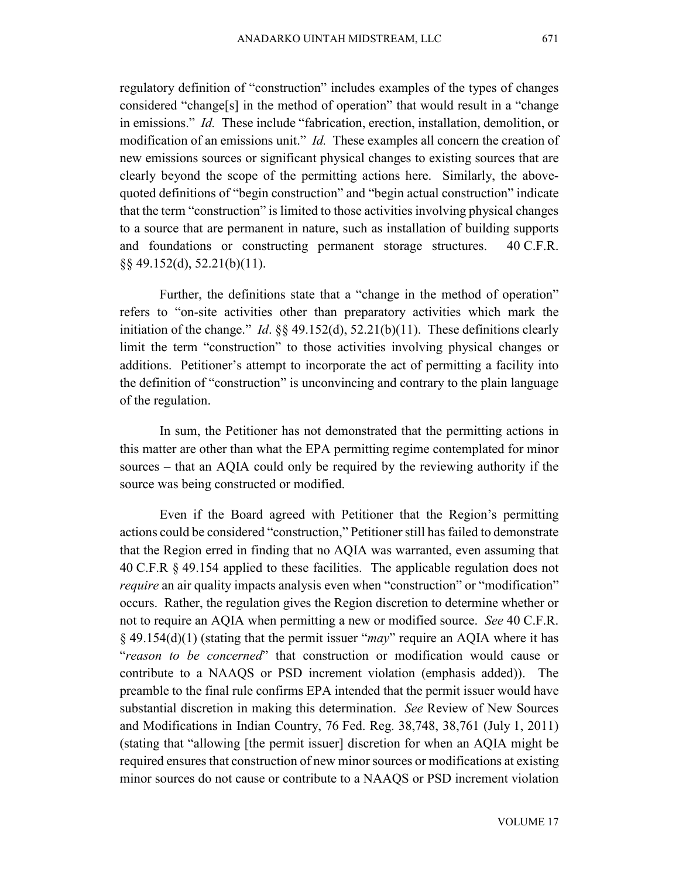regulatory definition of "construction" includes examples of the types of changes considered "change[s] in the method of operation" that would result in a "change in emissions." *Id.* These include "fabrication, erection, installation, demolition, or modification of an emissions unit." *Id.* These examples all concern the creation of new emissions sources or significant physical changes to existing sources that are clearly beyond the scope of the permitting actions here. Similarly, the abovequoted definitions of "begin construction" and "begin actual construction" indicate that the term "construction" is limited to those activities involving physical changes to a source that are permanent in nature, such as installation of building supports and foundations or constructing permanent storage structures. 40 C.F.R. §§ 49.152(d), 52.21(b)(11).

Further, the definitions state that a "change in the method of operation" refers to "on-site activities other than preparatory activities which mark the initiation of the change." *Id.*  $\S$ § 49.152(d), 52.21(b)(11). These definitions clearly limit the term "construction" to those activities involving physical changes or additions. Petitioner's attempt to incorporate the act of permitting a facility into the definition of "construction" is unconvincing and contrary to the plain language of the regulation.

In sum, the Petitioner has not demonstrated that the permitting actions in this matter are other than what the EPA permitting regime contemplated for minor sources – that an AQIA could only be required by the reviewing authority if the source was being constructed or modified.

Even if the Board agreed with Petitioner that the Region's permitting actions could be considered "construction," Petitioner still has failed to demonstrate that the Region erred in finding that no AQIA was warranted, even assuming that 40 C.F.R § 49.154 applied to these facilities. The applicable regulation does not *require* an air quality impacts analysis even when "construction" or "modification" occurs. Rather, the regulation gives the Region discretion to determine whether or not to require an AQIA when permitting a new or modified source. *See* 40 C.F.R. § 49.154(d)(1) (stating that the permit issuer "*may*" require an AQIA where it has "*reason to be concerned*" that construction or modification would cause or contribute to a NAAQS or PSD increment violation (emphasis added)). The preamble to the final rule confirms EPA intended that the permit issuer would have substantial discretion in making this determination. *See* Review of New Sources and Modifications in Indian Country, 76 Fed. Reg. 38,748, 38,761 (July 1, 2011) (stating that "allowing [the permit issuer] discretion for when an AQIA might be required ensures that construction of new minor sources or modifications at existing minor sources do not cause or contribute to a NAAQS or PSD increment violation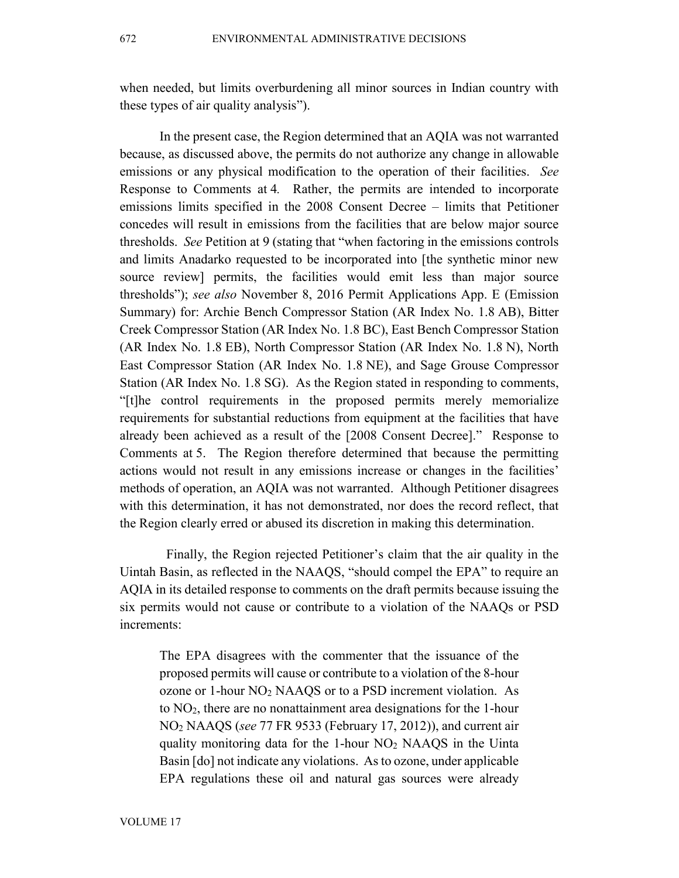when needed, but limits overburdening all minor sources in Indian country with these types of air quality analysis").

In the present case, the Region determined that an AQIA was not warranted because, as discussed above, the permits do not authorize any change in allowable emissions or any physical modification to the operation of their facilities. *See*  Response to Comments at 4*.* Rather, the permits are intended to incorporate emissions limits specified in the 2008 Consent Decree – limits that Petitioner concedes will result in emissions from the facilities that are below major source thresholds. *See* Petition at 9 (stating that "when factoring in the emissions controls and limits Anadarko requested to be incorporated into [the synthetic minor new source review] permits, the facilities would emit less than major source thresholds"); *see also* November 8, 2016 Permit Applications App. E (Emission Summary) for: Archie Bench Compressor Station (AR Index No. 1.8 AB), Bitter Creek Compressor Station (AR Index No. 1.8 BC), East Bench Compressor Station (AR Index No. 1.8 EB), North Compressor Station (AR Index No. 1.8 N), North East Compressor Station (AR Index No. 1.8 NE), and Sage Grouse Compressor Station (AR Index No. 1.8 SG). As the Region stated in responding to comments, "[t]he control requirements in the proposed permits merely memorialize requirements for substantial reductions from equipment at the facilities that have already been achieved as a result of the [2008 Consent Decree]." Response to Comments at 5. The Region therefore determined that because the permitting actions would not result in any emissions increase or changes in the facilities' methods of operation, an AQIA was not warranted. Although Petitioner disagrees with this determination, it has not demonstrated, nor does the record reflect, that the Region clearly erred or abused its discretion in making this determination.

 Finally, the Region rejected Petitioner's claim that the air quality in the Uintah Basin, as reflected in the NAAQS, "should compel the EPA" to require an AQIA in its detailed response to comments on the draft permits because issuing the six permits would not cause or contribute to a violation of the NAAQs or PSD increments:

The EPA disagrees with the commenter that the issuance of the proposed permits will cause or contribute to a violation of the 8-hour ozone or  $1$ -hour NO<sub>2</sub> NAAQS or to a PSD increment violation. As to NO2, there are no nonattainment area designations for the 1-hour NO2 NAAQS (*see* 77 FR 9533 (February 17, 2012)), and current air quality monitoring data for the 1-hour NO2 NAAQS in the Uinta Basin [do] not indicate any violations. As to ozone, under applicable EPA regulations these oil and natural gas sources were already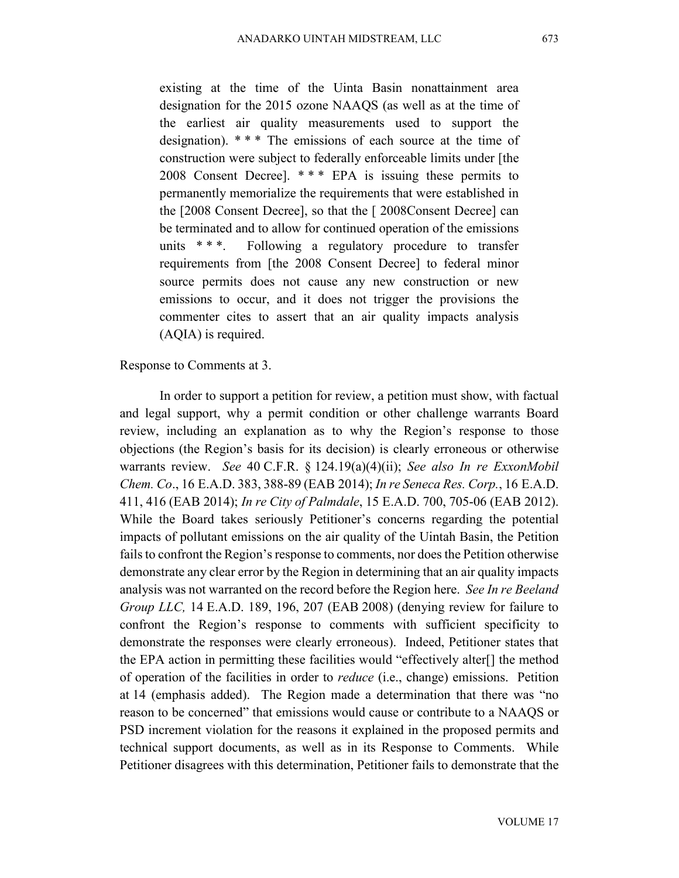existing at the time of the Uinta Basin nonattainment area designation for the 2015 ozone NAAQS (as well as at the time of the earliest air quality measurements used to support the designation). \* \* \* The emissions of each source at the time of construction were subject to federally enforceable limits under [the 2008 Consent Decree]. \* \* \* EPA is issuing these permits to permanently memorialize the requirements that were established in the [2008 Consent Decree], so that the [ 2008Consent Decree] can be terminated and to allow for continued operation of the emissions units \* \* \*. Following a regulatory procedure to transfer requirements from [the 2008 Consent Decree] to federal minor source permits does not cause any new construction or new emissions to occur, and it does not trigger the provisions the commenter cites to assert that an air quality impacts analysis (AQIA) is required.

### Response to Comments at 3.

In order to support a petition for review, a petition must show, with factual and legal support, why a permit condition or other challenge warrants Board review, including an explanation as to why the Region's response to those objections (the Region's basis for its decision) is clearly erroneous or otherwise warrants review. *See* 40 C.F.R. § 124.19(a)(4)(ii); *See also In re ExxonMobil Chem. Co*., 16 E.A.D. 383, 388-89 (EAB 2014); *In re Seneca Res. Corp.*, 16 E.A.D. 411, 416 (EAB 2014); *In re City of Palmdale*, 15 E.A.D. 700, 705-06 (EAB 2012). While the Board takes seriously Petitioner's concerns regarding the potential impacts of pollutant emissions on the air quality of the Uintah Basin, the Petition fails to confront the Region's response to comments, nor does the Petition otherwise demonstrate any clear error by the Region in determining that an air quality impacts analysis was not warranted on the record before the Region here. *See In re Beeland Group LLC,* 14 E.A.D. 189, 196, 207 (EAB 2008) (denying review for failure to confront the Region's response to comments with sufficient specificity to demonstrate the responses were clearly erroneous). Indeed, Petitioner states that the EPA action in permitting these facilities would "effectively alter[] the method of operation of the facilities in order to *reduce* (i.e., change) emissions. Petition at 14 (emphasis added). The Region made a determination that there was "no reason to be concerned" that emissions would cause or contribute to a NAAQS or PSD increment violation for the reasons it explained in the proposed permits and technical support documents, as well as in its Response to Comments. While Petitioner disagrees with this determination, Petitioner fails to demonstrate that the